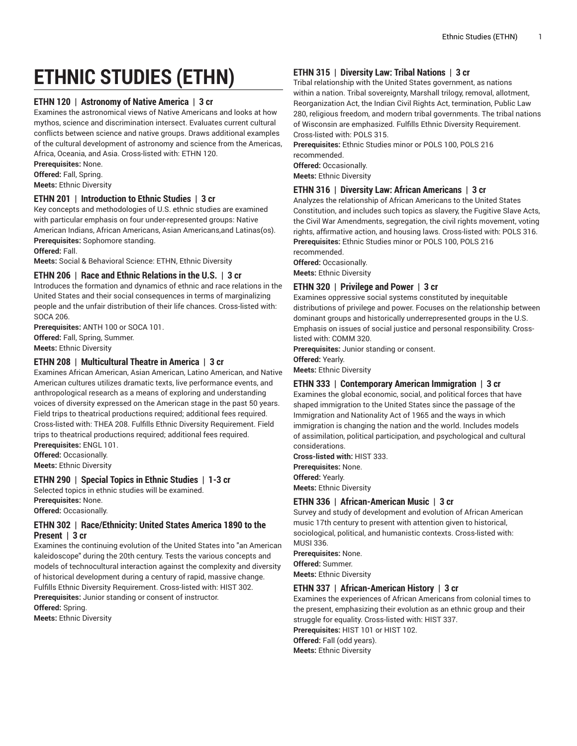# **ETHNIC STUDIES (ETHN)**

## **ETHN 120 | Astronomy of Native America | 3 cr**

Examines the astronomical views of Native Americans and looks at how mythos, science and discrimination intersect. Evaluates current cultural conflicts between science and native groups. Draws additional examples of the cultural development of astronomy and science from the Americas, Africa, Oceania, and Asia. Cross-listed with: ETHN 120.

**Prerequisites:** None.

**Offered:** Fall, Spring.

**Meets:** Ethnic Diversity

#### **ETHN 201 | Introduction to Ethnic Studies | 3 cr**

Key concepts and methodologies of U.S. ethnic studies are examined with particular emphasis on four under-represented groups: Native American Indians, African Americans, Asian Americans,and Latinas(os). **Prerequisites:** Sophomore standing.

**Offered:** Fall.

**Meets:** Social & Behavioral Science: ETHN, Ethnic Diversity

#### **ETHN 206 | Race and Ethnic Relations in the U.S. | 3 cr**

Introduces the formation and dynamics of ethnic and race relations in the United States and their social consequences in terms of marginalizing people and the unfair distribution of their life chances. Cross-listed with: SOCA 206.

**Prerequisites:** ANTH 100 or SOCA 101. **Offered:** Fall, Spring, Summer. **Meets:** Ethnic Diversity

#### **ETHN 208 | Multicultural Theatre in America | 3 cr**

Examines African American, Asian American, Latino American, and Native American cultures utilizes dramatic texts, live performance events, and anthropological research as a means of exploring and understanding voices of diversity expressed on the American stage in the past 50 years. Field trips to theatrical productions required; additional fees required. Cross-listed with: THEA 208. Fulfills Ethnic Diversity Requirement. Field trips to theatrical productions required; additional fees required. **Prerequisites:** ENGL 101.

**Offered:** Occasionally.

**Meets:** Ethnic Diversity

#### **ETHN 290 | Special Topics in Ethnic Studies | 1-3 cr**

Selected topics in ethnic studies will be examined.

**Prerequisites:** None.

**Offered:** Occasionally.

# **ETHN 302 | Race/Ethnicity: United States America 1890 to the Present | 3 cr**

Examines the continuing evolution of the United States into "an American kaleidoscope" during the 20th century. Tests the various concepts and models of technocultural interaction against the complexity and diversity of historical development during a century of rapid, massive change. Fulfills Ethnic Diversity Requirement. Cross-listed with: HIST 302. **Prerequisites:** Junior standing or consent of instructor. **Offered:** Spring. **Meets:** Ethnic Diversity

# **ETHN 315 | Diversity Law: Tribal Nations | 3 cr**

Tribal relationship with the United States government, as nations within a nation. Tribal sovereignty, Marshall trilogy, removal, allotment, Reorganization Act, the Indian Civil Rights Act, termination, Public Law 280, religious freedom, and modern tribal governments. The tribal nations of Wisconsin are emphasized. Fulfills Ethnic Diversity Requirement. Cross-listed with: POLS 315.

**Prerequisites:** Ethnic Studies minor or POLS 100, POLS 216 recommended.

**Offered:** Occasionally.

**Meets:** Ethnic Diversity

# **ETHN 316 | Diversity Law: African Americans | 3 cr**

Analyzes the relationship of African Americans to the United States Constitution, and includes such topics as slavery, the Fugitive Slave Acts, the Civil War Amendments, segregation, the civil rights movement, voting rights, affirmative action, and housing laws. Cross-listed with: POLS 316. **Prerequisites:** Ethnic Studies minor or POLS 100, POLS 216 recommended.

**Offered:** Occasionally.

**Meets:** Ethnic Diversity

# **ETHN 320 | Privilege and Power | 3 cr**

Examines oppressive social systems constituted by inequitable distributions of privilege and power. Focuses on the relationship between dominant groups and historically underrepresented groups in the U.S. Emphasis on issues of social justice and personal responsibility. Crosslisted with: COMM 320.

**Prerequisites:** Junior standing or consent.

**Offered:** Yearly.

**Meets:** Ethnic Diversity

## **ETHN 333 | Contemporary American Immigration | 3 cr**

Examines the global economic, social, and political forces that have shaped immigration to the United States since the passage of the Immigration and Nationality Act of 1965 and the ways in which immigration is changing the nation and the world. Includes models of assimilation, political participation, and psychological and cultural considerations.

**Cross-listed with:** HIST 333. **Prerequisites:** None. **Offered:** Yearly. **Meets:** Ethnic Diversity

# **ETHN 336 | African-American Music | 3 cr**

Survey and study of development and evolution of African American music 17th century to present with attention given to historical, sociological, political, and humanistic contexts. Cross-listed with: MUSI 336.

**Prerequisites:** None. **Offered:** Summer. **Meets:** Ethnic Diversity

#### **ETHN 337 | African-American History | 3 cr**

Examines the experiences of African Americans from colonial times to the present, emphasizing their evolution as an ethnic group and their struggle for equality. Cross-listed with: HIST 337. **Prerequisites:** HIST 101 or HIST 102. **Offered:** Fall (odd years). **Meets:** Ethnic Diversity